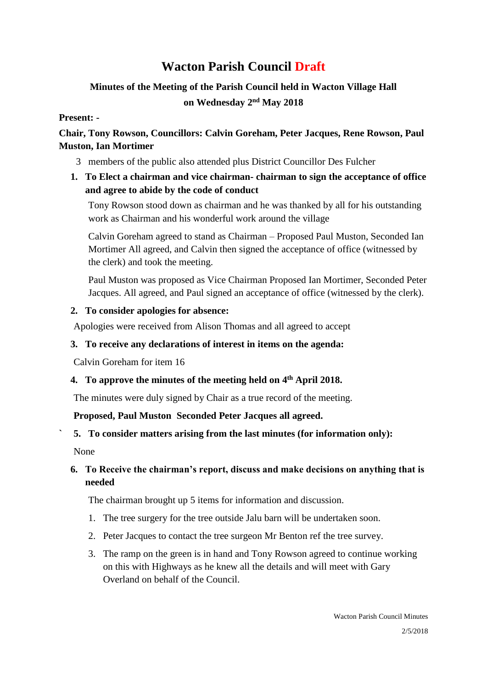# **Wacton Parish Council Draft**

## **Minutes of the Meeting of the Parish Council held in Wacton Village Hall on Wednesday 2 nd May 2018**

#### **Present: -**

## **Chair, Tony Rowson, Councillors: Calvin Goreham, Peter Jacques, Rene Rowson, Paul Muston, Ian Mortimer**

3 members of the public also attended plus District Councillor Des Fulcher

## **1. To Elect a chairman and vice chairman- chairman to sign the acceptance of office and agree to abide by the code of conduct**

Tony Rowson stood down as chairman and he was thanked by all for his outstanding work as Chairman and his wonderful work around the village

Calvin Goreham agreed to stand as Chairman – Proposed Paul Muston, Seconded Ian Mortimer All agreed, and Calvin then signed the acceptance of office (witnessed by the clerk) and took the meeting.

Paul Muston was proposed as Vice Chairman Proposed Ian Mortimer, Seconded Peter Jacques. All agreed, and Paul signed an acceptance of office (witnessed by the clerk).

#### **2. To consider apologies for absence:**

Apologies were received from Alison Thomas and all agreed to accept

#### **3. To receive any declarations of interest in items on the agenda:**

Calvin Goreham for item 16

## **4. To approve the minutes of the meeting held on 4 th April 2018.**

The minutes were duly signed by Chair as a true record of the meeting.

#### **Proposed, Paul Muston Seconded Peter Jacques all agreed.**

## **` 5. To consider matters arising from the last minutes (for information only):**

None

## **6. To Receive the chairman's report, discuss and make decisions on anything that is needed**

The chairman brought up 5 items for information and discussion.

- 1. The tree surgery for the tree outside Jalu barn will be undertaken soon.
- 2. Peter Jacques to contact the tree surgeon Mr Benton ref the tree survey.
- 3. The ramp on the green is in hand and Tony Rowson agreed to continue working on this with Highways as he knew all the details and will meet with Gary Overland on behalf of the Council.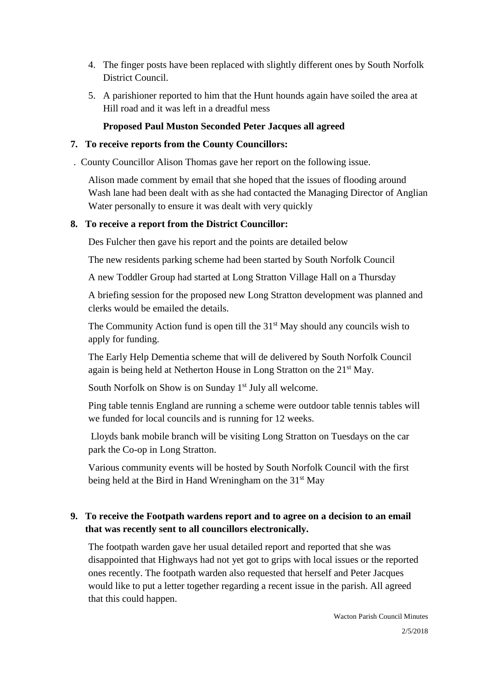- 4. The finger posts have been replaced with slightly different ones by South Norfolk District Council.
- 5. A parishioner reported to him that the Hunt hounds again have soiled the area at Hill road and it was left in a dreadful mess

#### **Proposed Paul Muston Seconded Peter Jacques all agreed**

#### **7. To receive reports from the County Councillors:**

. County Councillor Alison Thomas gave her report on the following issue.

Alison made comment by email that she hoped that the issues of flooding around Wash lane had been dealt with as she had contacted the Managing Director of Anglian Water personally to ensure it was dealt with very quickly

#### **8. To receive a report from the District Councillor:**

Des Fulcher then gave his report and the points are detailed below

The new residents parking scheme had been started by South Norfolk Council

A new Toddler Group had started at Long Stratton Village Hall on a Thursday

A briefing session for the proposed new Long Stratton development was planned and clerks would be emailed the details.

The Community Action fund is open till the  $31<sup>st</sup>$  May should any councils wish to apply for funding.

The Early Help Dementia scheme that will de delivered by South Norfolk Council again is being held at Netherton House in Long Stratton on the 21st May.

South Norfolk on Show is on Sunday  $1<sup>st</sup>$  July all welcome.

Ping table tennis England are running a scheme were outdoor table tennis tables will we funded for local councils and is running for 12 weeks.

Lloyds bank mobile branch will be visiting Long Stratton on Tuesdays on the car park the Co-op in Long Stratton.

Various community events will be hosted by South Norfolk Council with the first being held at the Bird in Hand Wreningham on the 31<sup>st</sup> May

## **9. To receive the Footpath wardens report and to agree on a decision to an email that was recently sent to all councillors electronically.**

The footpath warden gave her usual detailed report and reported that she was disappointed that Highways had not yet got to grips with local issues or the reported ones recently. The footpath warden also requested that herself and Peter Jacques would like to put a letter together regarding a recent issue in the parish. All agreed that this could happen.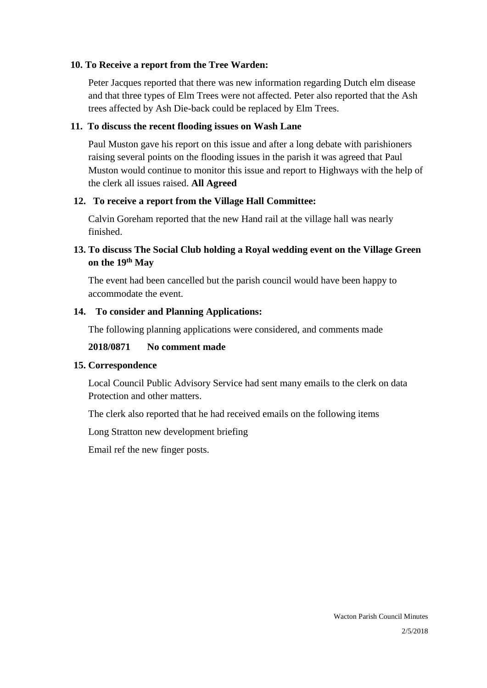#### **10. To Receive a report from the Tree Warden:**

Peter Jacques reported that there was new information regarding Dutch elm disease and that three types of Elm Trees were not affected. Peter also reported that the Ash trees affected by Ash Die-back could be replaced by Elm Trees.

#### **11. To discuss the recent flooding issues on Wash Lane**

Paul Muston gave his report on this issue and after a long debate with parishioners raising several points on the flooding issues in the parish it was agreed that Paul Muston would continue to monitor this issue and report to Highways with the help of the clerk all issues raised. **All Agreed**

#### **12. To receive a report from the Village Hall Committee:**

Calvin Goreham reported that the new Hand rail at the village hall was nearly finished.

## **13. To discuss The Social Club holding a Royal wedding event on the Village Green on the 19th May**

The event had been cancelled but the parish council would have been happy to accommodate the event.

#### **14. To consider and Planning Applications:**

The following planning applications were considered, and comments made

#### **2018/0871 No comment made**

#### **15. Correspondence**

Local Council Public Advisory Service had sent many emails to the clerk on data Protection and other matters.

The clerk also reported that he had received emails on the following items

Long Stratton new development briefing

Email ref the new finger posts.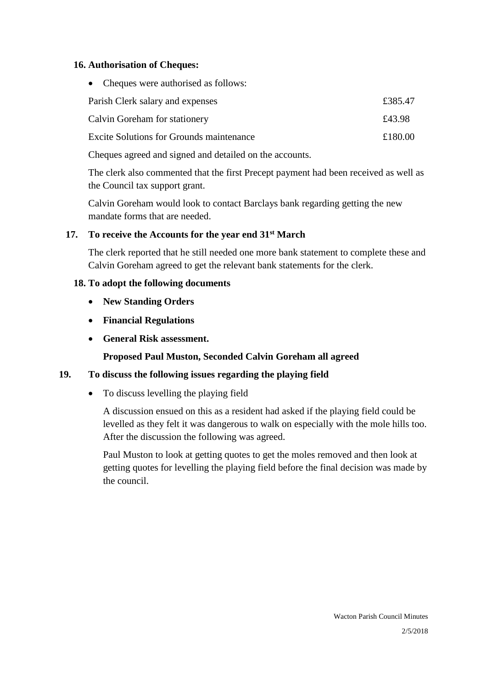#### **16. Authorisation of Cheques:**

• Cheques were authorised as follows:

| Parish Clerk salary and expenses                | £385.47 |
|-------------------------------------------------|---------|
| Calvin Goreham for stationery                   | £43.98  |
| <b>Excite Solutions for Grounds maintenance</b> | £180.00 |

Cheques agreed and signed and detailed on the accounts.

The clerk also commented that the first Precept payment had been received as well as the Council tax support grant.

Calvin Goreham would look to contact Barclays bank regarding getting the new mandate forms that are needed.

#### **17. To receive the Accounts for the year end 31st March**

The clerk reported that he still needed one more bank statement to complete these and Calvin Goreham agreed to get the relevant bank statements for the clerk.

#### **18. To adopt the following documents**

- **New Standing Orders**
- **Financial Regulations**
- **General Risk assessment.**

**Proposed Paul Muston, Seconded Calvin Goreham all agreed** 

#### **19. To discuss the following issues regarding the playing field**

• To discuss levelling the playing field

A discussion ensued on this as a resident had asked if the playing field could be levelled as they felt it was dangerous to walk on especially with the mole hills too. After the discussion the following was agreed.

Paul Muston to look at getting quotes to get the moles removed and then look at getting quotes for levelling the playing field before the final decision was made by the council.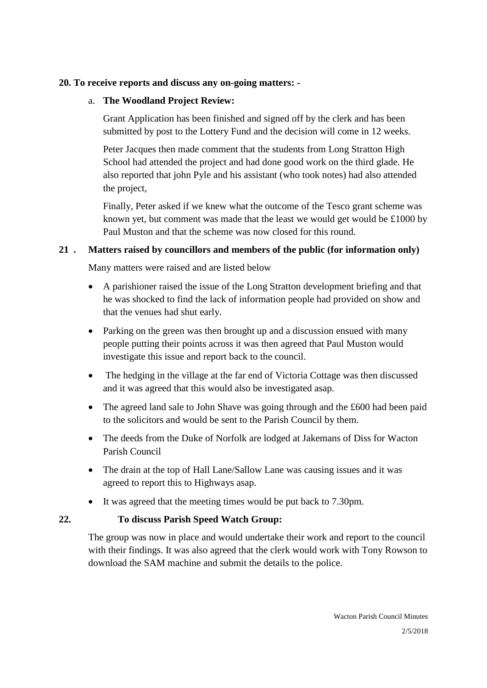#### **20. To receive reports and discuss any on-going matters: -**

#### a. **The Woodland Project Review:**

Grant Application has been finished and signed off by the clerk and has been submitted by post to the Lottery Fund and the decision will come in 12 weeks.

Peter Jacques then made comment that the students from Long Stratton High School had attended the project and had done good work on the third glade. He also reported that john Pyle and his assistant (who took notes) had also attended the project,

Finally, Peter asked if we knew what the outcome of the Tesco grant scheme was known yet, but comment was made that the least we would get would be £1000 by Paul Muston and that the scheme was now closed for this round.

#### **21 . Matters raised by councillors and members of the public (for information only)**

Many matters were raised and are listed below

- A parishioner raised the issue of the Long Stratton development briefing and that he was shocked to find the lack of information people had provided on show and that the venues had shut early.
- Parking on the green was then brought up and a discussion ensued with many people putting their points across it was then agreed that Paul Muston would investigate this issue and report back to the council.
- The hedging in the village at the far end of Victoria Cottage was then discussed and it was agreed that this would also be investigated asap.
- The agreed land sale to John Shave was going through and the £600 had been paid to the solicitors and would be sent to the Parish Council by them.
- The deeds from the Duke of Norfolk are lodged at Jakemans of Diss for Wacton Parish Council
- The drain at the top of Hall Lane/Sallow Lane was causing issues and it was agreed to report this to Highways asap.
- It was agreed that the meeting times would be put back to 7.30pm.

#### **22. To discuss Parish Speed Watch Group:**

The group was now in place and would undertake their work and report to the council with their findings. It was also agreed that the clerk would work with Tony Rowson to download the SAM machine and submit the details to the police.